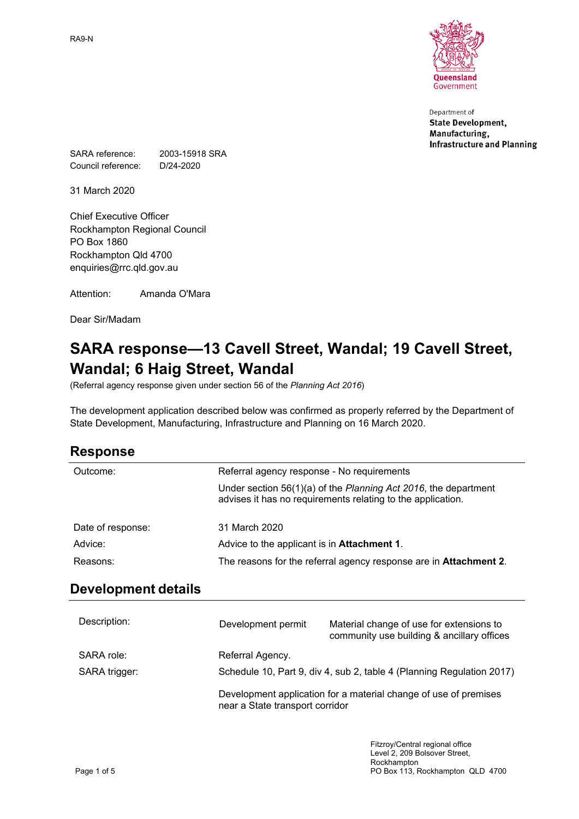

Department of **State Development,** Manufacturing, **Infrastructure and Planning** 

SARA reference: 2003-15918 SRA Council reference: D/24-2020

31 March 2020

Chief Executive Officer Rockhampton Regional Council PO Box 1860 Rockhampton Qld 4700 enquiries@rrc.qld.gov.au

Attention: Amanda O'Mara

Dear Sir/Madam

# **SARA response—13 Cavell Street, Wandal; 19 Cavell Street, Wandal; 6 Haig Street, Wandal**

(Referral agency response given under section 56 of the *Planning Act 2016*)

The development application described below was confirmed as properly referred by the Department of State Development, Manufacturing, Infrastructure and Planning on 16 March 2020.

| Outcome:          | Referral agency response - No requirements                                                                                     |
|-------------------|--------------------------------------------------------------------------------------------------------------------------------|
|                   | Under section 56(1)(a) of the Planning Act 2016, the department<br>advises it has no requirements relating to the application. |
| Date of response: | 31 March 2020                                                                                                                  |
| Advice:           | Advice to the applicant is in Attachment 1.                                                                                    |
| Reasons:          | The reasons for the referral agency response are in Attachment 2.                                                              |

### **Development details**

| Description:  | Development permit              | Material change of use for extensions to<br>community use building & ancillary offices |
|---------------|---------------------------------|----------------------------------------------------------------------------------------|
| SARA role:    | Referral Agency.                |                                                                                        |
| SARA trigger: |                                 | Schedule 10, Part 9, div 4, sub 2, table 4 (Planning Regulation 2017)                  |
|               | near a State transport corridor | Development application for a material change of use of premises                       |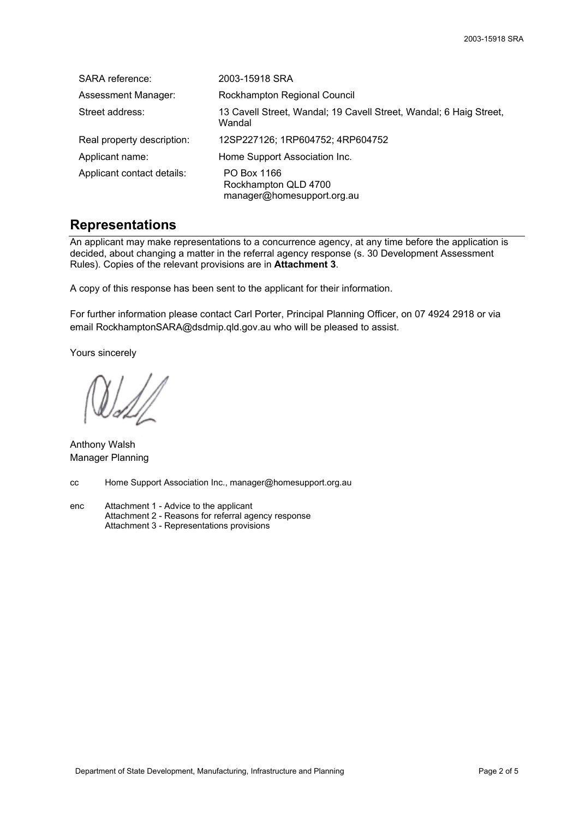| SARA reference:            | 2003-15918 SRA                                                               |
|----------------------------|------------------------------------------------------------------------------|
| Assessment Manager:        | Rockhampton Regional Council                                                 |
| Street address:            | 13 Cavell Street, Wandal; 19 Cavell Street, Wandal; 6 Haig Street,<br>Wandal |
| Real property description: | 12SP227126; 1RP604752; 4RP604752                                             |
| Applicant name:            | Home Support Association Inc.                                                |
| Applicant contact details: | PO Box 1166<br>Rockhampton QLD 4700<br>manager@homesupport.org.au            |

### **Representations**

An applicant may make representations to a concurrence agency, at any time before the application is decided, about changing a matter in the referral agency response (s. 30 Development Assessment Rules). Copies of the relevant provisions are in **Attachment 3**.

A copy of this response has been sent to the applicant for their information.

For further information please contact Carl Porter, Principal Planning Officer, on 07 4924 2918 or via email RockhamptonSARA@dsdmip.qld.gov.au who will be pleased to assist.

Yours sincerely

Anthony Walsh Manager Planning

cc Home Support Association Inc., manager@homesupport.org.au

enc Attachment 1 - Advice to the applicant Attachment 2 - Reasons for referral agency response Attachment 3 - Representations provisions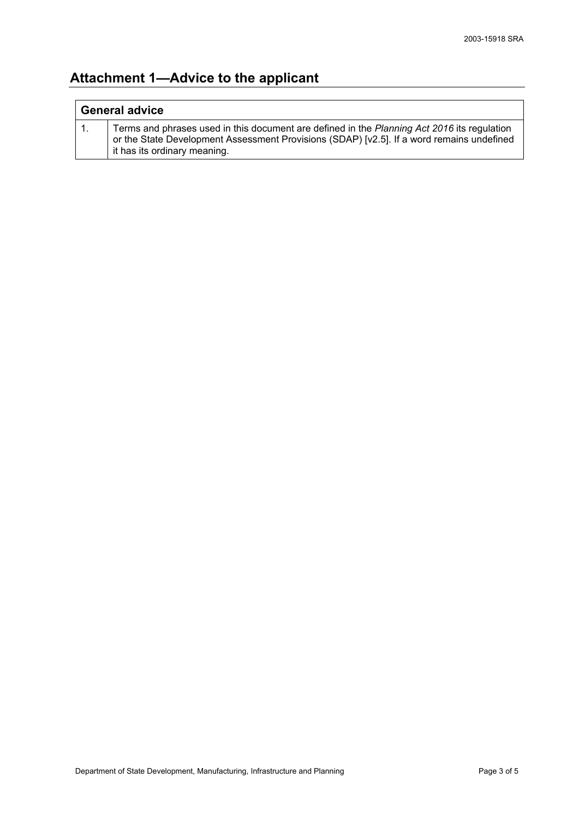## **Attachment 1—Advice to the applicant**

| <b>General advice</b> |                                                                                                                                                                                                                          |
|-----------------------|--------------------------------------------------------------------------------------------------------------------------------------------------------------------------------------------------------------------------|
|                       | Terms and phrases used in this document are defined in the Planning Act 2016 its regulation<br>or the State Development Assessment Provisions (SDAP) [v2.5]. If a word remains undefined<br>it has its ordinary meaning. |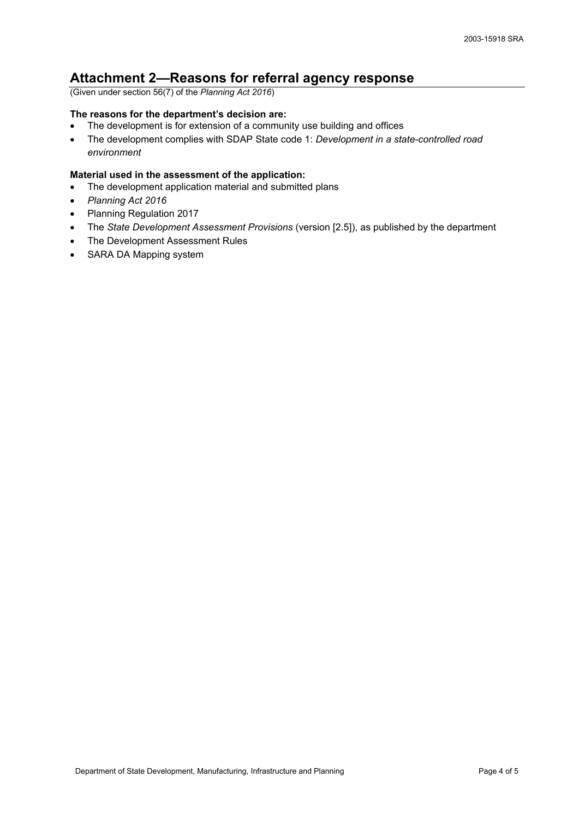## **Attachment 2—Reasons for referral agency response**

(Given under section 56(7) of the *Planning Act 2016*)

#### **The reasons for the department's decision are:**

- The development is for extension of a community use building and offices
- The development complies with SDAP State code 1: *Development in a state-controlled road environment*

#### **Material used in the assessment of the application:**

- The development application material and submitted plans
- *Planning Act 2016*
- Planning Regulation 2017
- The *State Development Assessment Provisions* (version [2.5]), as published by the department
- The Development Assessment Rules
- SARA DA Mapping system